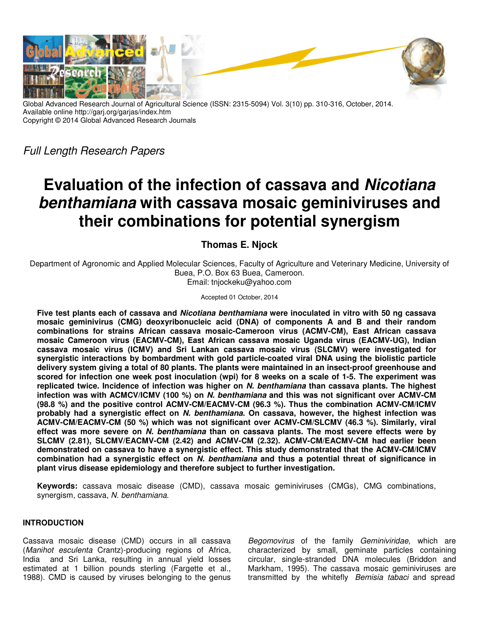

Global Advanced Research Journal of Agricultural Science (ISSN: 2315-5094) Vol. 3(10) pp. 310-316, October, 2014. Available online http://garj.org/garjas/index.htm Copyright © 2014 Global Advanced Research Journals

Full Length Research Papers

# **Evaluation of the infection of cassava and Nicotiana benthamiana with cassava mosaic geminiviruses and their combinations for potential synergism**

**Thomas E. Njock** 

Department of Agronomic and Applied Molecular Sciences, Faculty of Agriculture and Veterinary Medicine, University of Buea, P.O. Box 63 Buea, Cameroon. Email: tnjockeku@yahoo.com

Accepted 01 October, 2014

**Five test plants each of cassava and Nicotiana benthamiana were inoculated in vitro with 50 ng cassava mosaic geminivirus (CMG) deoxyribonucleic acid (DNA) of components A and B and their random combinations for strains African cassava mosaic-Cameroon virus (ACMV-CM), East African cassava mosaic Cameroon virus (EACMV-CM), East African cassava mosaic Uganda virus (EACMV-UG), Indian cassava mosaic virus (ICMV) and Sri Lankan cassava mosaic virus (SLCMV) were investigated for synergistic interactions by bombardment with gold particle-coated viral DNA using the biolistic particle delivery system giving a total of 80 plants. The plants were maintained in an insect-proof greenhouse and scored for infection one week post inoculation (wpi) for 8 weeks on a scale of 1-5. The experiment was replicated twice. Incidence of infection was higher on N. benthamiana than cassava plants. The highest infection was with ACMCV/ICMV (100 %) on N. benthamiana and this was not significant over ACMV-CM (98.8 %) and the positive control ACMV-CM/EACMV-CM (96.3 %). Thus the combination ACMV-CM/ICMV probably had a synergistic effect on N. benthamiana. On cassava, however, the highest infection was ACMV-CM/EACMV-CM (50 %) which was not significant over ACMV-CM/SLCMV (46.3 %). Similarly, viral effect was more severe on N. benthamiana than on cassava plants. The most severe effects were by SLCMV (2.81), SLCMV/EACMV-CM (2.42) and ACMV-CM (2.32). ACMV-CM/EACMV-CM had earlier been demonstrated on cassava to have a synergistic effect. This study demonstrated that the ACMV-CM/ICMV combination had a synergistic effect on N. benthamiana and thus a potential threat of significance in plant virus disease epidemiology and therefore subject to further investigation.** 

**Keywords:** cassava mosaic disease (CMD), cassava mosaic geminiviruses (CMGs), CMG combinations, synergism, cassava, N. benthamiana.

# **INTRODUCTION**

Cassava mosaic disease (CMD) occurs in all cassava (Manihot esculenta Crantz)-producing regions of Africa, India and Sri Lanka, resulting in annual yield losses estimated at 1 billion pounds sterling (Fargette et al., 1988). CMD is caused by viruses belonging to the genus

Begomovirus of the family Geminiviridae, which are characterized by small, geminate particles containing circular, single-stranded DNA molecules (Briddon and Markham, 1995). The cassava mosaic geminiviruses are transmitted by the whitefly Bemisia tabaci and spread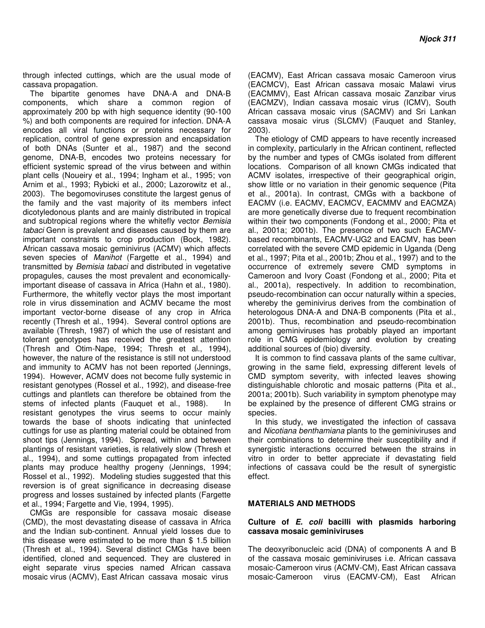through infected cuttings, which are the usual mode of cassava propagation.

The bipartite genomes have DNA-A and DNA-B components, which share a common region of approximately 200 bp with high sequence identity (90-100 %) and both components are required for infection. DNA-A encodes all viral functions or proteins necessary for replication, control of gene expression and encapsidation of both DNAs (Sunter et al., 1987) and the second genome, DNA-B, encodes two proteins necessary for efficient systemic spread of the virus between and within plant cells (Noueiry et al., 1994; Ingham et al., 1995; von Arnim et al., 1993; Rybicki et al., 2000; Lazorowitz et al., 2003). The begomoviruses constitute the largest genus of the family and the vast majority of its members infect dicotyledonous plants and are mainly distributed in tropical and subtropical regions where the whitefly vector Bemisia tabaci Genn is prevalent and diseases caused by them are important constraints to crop production (Bock, 1982). African cassava mosaic geminivirus (ACMV) which affects seven species of Manihot (Fargette et al., 1994) and transmitted by Bemisia tabaci and distributed in vegetative propagules, causes the most prevalent and economicallyimportant disease of cassava in Africa (Hahn et al., 1980). Furthermore, the whitefly vector plays the most important role in virus dissemination and ACMV became the most important vector-borne disease of any crop in Africa recently (Thresh et al., 1994). Several control options are available (Thresh, 1987) of which the use of resistant and tolerant genotypes has received the greatest attention (Thresh and Otim-Nape, 1994; Thresh et al., 1994), however, the nature of the resistance is still not understood and immunity to ACMV has not been reported (Jennings, 1994). However, ACMV does not become fully systemic in resistant genotypes (Rossel et al., 1992), and disease-free cuttings and plantlets can therefore be obtained from the stems of infected plants (Fauquet et al., 1988). In resistant genotypes the virus seems to occur mainly towards the base of shoots indicating that uninfected cuttings for use as planting material could be obtained from shoot tips (Jennings, 1994). Spread, within and between plantings of resistant varieties, is relatively slow (Thresh et al., 1994), and some cuttings propagated from infected plants may produce healthy progeny (Jennings, 1994; Rossel et al., 1992). Modeling studies suggested that this reversion is of great significance in decreasing disease progress and losses sustained by infected plants (Fargette et al., 1994; Fargette and Vie, 1994, 1995).

CMGs are responsible for cassava mosaic disease (CMD), the most devastating disease of cassava in Africa and the Indian sub-continent. Annual yield losses due to this disease were estimated to be more than \$ 1.5 billion (Thresh et al., 1994). Several distinct CMGs have been identified, cloned and sequenced. They are clustered in eight separate virus species named African cassava mosaic virus (ACMV), East African cassava mosaic virus

(EACMV), East African cassava mosaic Cameroon virus (EACMCV), East African cassava mosaic Malawi virus (EACMMV), East African cassava mosaic Zanzibar virus (EACMZV), Indian cassava mosaic virus (ICMV), South African cassava mosaic virus (SACMV) and Sri Lankan cassava mosaic virus (SLCMV) (Fauquet and Stanley, 2003).

The etiology of CMD appears to have recently increased in complexity, particularly in the African continent, reflected by the number and types of CMGs isolated from different locations. Comparison of all known CMGs indicated that ACMV isolates, irrespective of their geographical origin, show little or no variation in their genomic sequence (Pita et al., 2001a). In contrast, CMGs with a backbone of EACMV (i.e. EACMV, EACMCV, EACMMV and EACMZA) are more genetically diverse due to frequent recombination within their two components (Fondong et al., 2000; Pita et al., 2001a; 2001b). The presence of two such EACMVbased recombinants, EACMV-UG2 and EACMV, has been correlated with the severe CMD epidemic in Uganda (Deng et al., 1997; Pita et al., 2001b; Zhou et al., 1997) and to the occurrence of extremely severe CMD symptoms in Cameroon and Ivory Coast (Fondong et al., 2000; Pita et al., 2001a), respectively. In addition to recombination, pseudo-recombination can occur naturally within a species, whereby the geminivirus derives from the combination of heterologous DNA-A and DNA-B components (Pita et al., 2001b). Thus, recombination and pseudo-recombination among geminiviruses has probably played an important role in CMG epidemiology and evolution by creating additional sources of (bio) diversity.

It is common to find cassava plants of the same cultivar, growing in the same field, expressing different levels of CMD symptom severity, with infected leaves showing distinguishable chlorotic and mosaic patterns (Pita et al., 2001a; 2001b). Such variability in symptom phenotype may be explained by the presence of different CMG strains or species.

In this study, we investigated the infection of cassava and Nicotiana benthamiana plants to the geminiviruses and their combinations to determine their susceptibility and if synergistic interactions occurred between the strains in vitro in order to better appreciate if devastating field infections of cassava could be the result of synergistic effect.

### **MATERIALS AND METHODS**

#### **Culture of E. coli bacilli with plasmids harboring cassava mosaic geminiviruses**

The deoxyribonucleic acid (DNA) of components A and B of the cassava mosaic geminiviruses i.e. African cassava mosaic-Cameroon virus (ACMV-CM), East African cassava mosaic-Cameroon virus (EACMV-CM), East African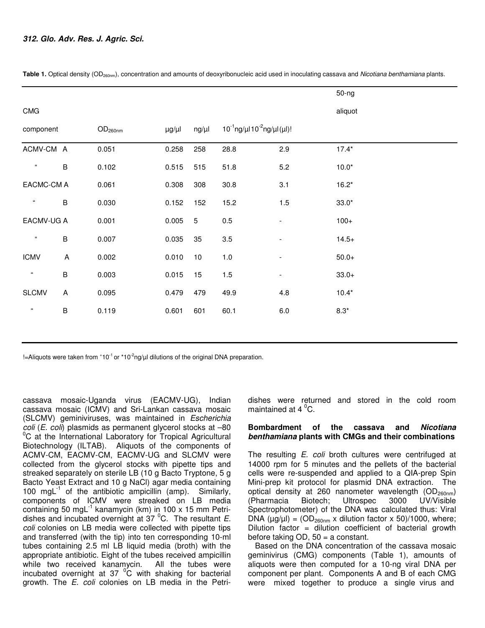|                         |                           |                     |                  |            |         |                                            | $50-ng$ |  |
|-------------------------|---------------------------|---------------------|------------------|------------|---------|--------------------------------------------|---------|--|
| <b>CMG</b>              |                           |                     |                  |            |         |                                            | aliquot |  |
| component               |                           | OD <sub>260nm</sub> | $\mu$ g/ $\mu$ l | $ng/\mu l$ |         | $10^{-1}$ ng/µl $10^{-2}$ ng/µl $(\mu I)!$ |         |  |
| ACMV-CM A               |                           | 0.051               | 0.258            | 258        | 28.8    | 2.9                                        | $17.4*$ |  |
| $\epsilon$              | $\sf B$                   | 0.102               | 0.515            | 515        | 51.8    | 5.2                                        | $10.0*$ |  |
| EACMC-CM A              |                           | 0.061               | 0.308            | 308        | 30.8    | 3.1                                        | $16.2*$ |  |
| $\epsilon$              | $\sf B$                   | 0.030               | 0.152            | 152        | 15.2    | 1.5                                        | $33.0*$ |  |
| EACMV-UG A              |                           | 0.001               | 0.005            | $\sqrt{5}$ | 0.5     | $\overline{\phantom{a}}$                   | $100+$  |  |
| $\epsilon\epsilon$      | $\sf B$                   | 0.007               | 0.035            | 35         | $3.5\,$ | $\overline{\phantom{a}}$                   | $14.5+$ |  |
| <b>ICMV</b>             | $\overline{A}$            | 0.002               | 0.010            | $10$       | 1.0     | $\overline{\phantom{a}}$                   | $50.0+$ |  |
| $\alpha$                | $\sf B$                   | 0.003               | 0.015            | 15         | 1.5     | -                                          | $33.0+$ |  |
| <b>SLCMV</b>            | $\boldsymbol{\mathsf{A}}$ | 0.095               | 0.479            | 479        | 49.9    | 4.8                                        | $10.4*$ |  |
| $\boldsymbol{\epsilon}$ | $\sf B$                   | 0.119               | 0.601            | 601        | 60.1    | $6.0\,$                                    | $8.3*$  |  |
|                         |                           |                     |                  |            |         |                                            |         |  |

Table 1. Optical density (OD<sub>260nm</sub>), concentration and amounts of deoxyribonucleic acid used in inoculating cassava and Nicotiana benthamiana plants.

 $l =$ Aliquots were taken from  $10^{-1}$  or  $10^{-2}$ ng/ $\mu$ l dilutions of the original DNA preparation.

cassava mosaic-Uganda virus (EACMV-UG), Indian cassava mosaic (ICMV) and Sri-Lankan cassava mosaic (SLCMV) geminiviruses, was maintained in Escherichia coli (E. coli) plasmids as permanent glycerol stocks at -80  $\mathrm{^{0}C}$  at the International Laboratory for Tropical Agricultural Biotechnology (ILTAB). Aliquots of the components of ACMV-CM, EACMV-CM, EACMV-UG and SLCMV were collected from the glycerol stocks with pipette tips and streaked separately on sterile LB (10 g Bacto Tryptone, 5 g Bacto Yeast Extract and 10 g NaCl) agar media containing 100 mg $L^{-1}$  of the antibiotic ampicillin (amp). Similarly, components of ICMV were streaked on LB media containing 50 mg $L^{-1}$  kanamycin (km) in 100 x 15 mm Petridishes and incubated overnight at  $37<sup>o</sup>C$ . The resultant E. coli colonies on LB media were collected with pipette tips and transferred (with the tip) into ten corresponding 10-ml tubes containing 2.5 ml LB liquid media (broth) with the appropriate antibiotic. Eight of the tubes received ampicillin while two received kanamycin. All the tubes were incubated overnight at  $37\,^{\circ}\text{C}$  with shaking for bacterial growth. The E. coli colonies on LB media in the Petridishes were returned and stored in the cold room maintained at 4  $^{\circ}$ C.

### **Bombardment of the cassava and Nicotiana benthamiana plants with CMGs and their combinations**

The resulting E. coli broth cultures were centrifuged at 14000 rpm for 5 minutes and the pellets of the bacterial cells were re-suspended and applied to a QIA-prep Spin Mini-prep kit protocol for plasmid DNA extraction. The optical density at 260 nanometer wavelength  $OD_{260nm}$ ) (Pharmacia Biotech; Ultrospec 3000 UV/Visible Spectrophotometer) of the DNA was calculated thus: Viral DNA ( $\mu$ g/ $\mu$ l) = (OD<sub>260nm</sub> x dilution factor x 50)/1000, where; Dilution factor = dilution coefficient of bacterial growth before taking OD, 50 = a constant.

Based on the DNA concentration of the cassava mosaic geminivirus (CMG) components (Table 1), amounts of aliquots were then computed for a 10-ng viral DNA per component per plant. Components A and B of each CMG were mixed together to produce a single virus and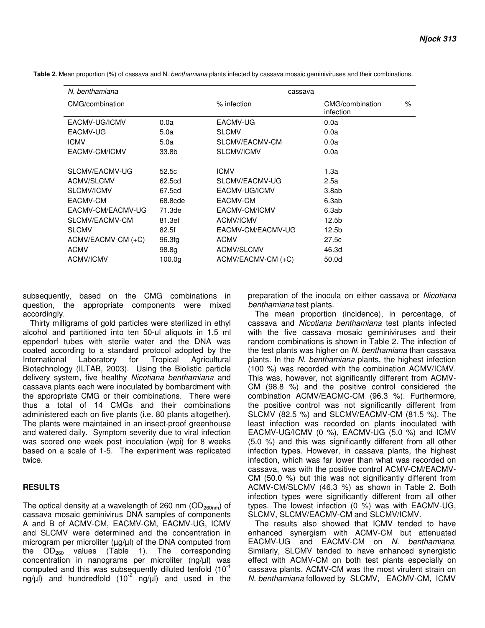| N. benthamiana       |         | cassava            |                                     |   |
|----------------------|---------|--------------------|-------------------------------------|---|
| CMG/combination      |         | % infection        | CMG/combination<br><i>infection</i> | % |
| EACMV-UG/ICMV        | 0.0a    | EACMV-UG           | 0.0a                                |   |
| EACMV-UG             | 5.0a    | <b>SLCMV</b>       | 0.0a                                |   |
| <b>ICMV</b>          | 5.0a    | SLCMV/EACMV-CM     | 0.0a                                |   |
| EACMV-CM/ICMV        | 33.8b   | SLCMV/ICMV         | 0.0a                                |   |
|                      |         |                    |                                     |   |
| SLCMV/EACMV-UG       | 52.5c   | <b>ICMV</b>        | 1.3a                                |   |
| ACMV/SLCMV           | 62.5cd  | SLCMV/EACMV-UG     | 2.5a                                |   |
| SLCMV/ICMV           | 67.5cd  | EACMV-UG/ICMV      | 3.8ab                               |   |
| EACMV-CM             | 68.8cde | EACMV-CM           | 6.3ab                               |   |
| EACMV-CM/EACMV-UG    | 71.3de  | EACMV-CM/ICMV      | 6.3ab                               |   |
| SLCMV/EACMV-CM       | 81.3ef  | ACMV/ICMV          | 12.5b                               |   |
| <b>SLCMV</b>         | 82.5f   | EACMV-CM/EACMV-UG  | 12.5b                               |   |
| $ACMV/EACMV-CM (+C)$ | 96.3fg  | <b>ACMV</b>        | 27.5c                               |   |
| <b>ACMV</b>          | 98.8g   | ACMV/SLCMV         | 46.3d                               |   |
| ACMV/ICMV            | 100.0a  | ACMV/EACMV-CM (+C) | 50.0d                               |   |

 **Table 2.** Mean proportion (%) of cassava and N. benthamiana plants infected by cassava mosaic geminiviruses and their combinations.

subsequently, based on the CMG combinations in question, the appropriate components were mixed accordingly.

Thirty milligrams of gold particles were sterilized in ethyl alcohol and partitioned into ten 50-ul aliquots in 1.5 ml eppendorf tubes with sterile water and the DNA was coated according to a standard protocol adopted by the International Laboratory for Tropical Agricultural Biotechnology (ILTAB, 2003). Using the Biolistic particle delivery system, five healthy Nicotiana benthamiana and cassava plants each were inoculated by bombardment with the appropriate CMG or their combinations. There were thus a total of 14 CMGs and their combinations administered each on five plants (i.e. 80 plants altogether). The plants were maintained in an insect-proof greenhouse and watered daily. Symptom severity due to viral infection was scored one week post inoculation (wpi) for 8 weeks based on a scale of 1-5. The experiment was replicated twice.

### **RESULTS**

The optical density at a wavelength of 260 nm ( $OD_{260nm}$ ) of cassava mosaic geminivirus DNA samples of components A and B of ACMV-CM, EACMV-CM, EACMV-UG, ICMV and SLCMV were determined and the concentration in microgram per microliter  $(\mu g/\mu)$  of the DNA computed from the  $OD_{260}$  values (Table 1). The corresponding concentration in nanograms per microliter (ng/µl) was computed and this was subsequently diluted tenfold  $(10^{-1})$ ng/µl) and hundredfold (10<sup>-2</sup> ng/µl) and used in the

preparation of the inocula on either cassava or Nicotiana benthamiana test plants.

The mean proportion (incidence), in percentage, of cassava and Nicotiana benthamiana test plants infected with the five cassava mosaic geminiviruses and their random combinations is shown in Table 2. The infection of the test plants was higher on N. benthamiana than cassava plants. In the N. benthamiana plants, the highest infection (100 %) was recorded with the combination ACMV/ICMV. This was, however, not significantly different from ACMV-CM (98.8 %) and the positive control considered the combination ACMV/EACMC-CM (96.3 %). Furthermore, the positive control was not significantly different from SLCMV (82.5 %) and SLCMV/EACMV-CM (81.5 %). The least infection was recorded on plants inoculated with EACMV-UG/ICMV (0 %), EACMV-UG (5.0 %) and ICMV (5.0 %) and this was significantly different from all other infection types. However, in cassava plants, the highest infection, which was far lower than what was recorded on cassava, was with the positive control ACMV-CM/EACMV-CM (50.0 %) but this was not significantly different from ACMV-CM/SLCMV (46.3 %) as shown in Table 2. Both infection types were significantly different from all other types. The lowest infection (0 %) was with EACMV-UG, SLCMV, SLCMV/EACMV-CM and SLCMV/ICMV.

The results also showed that ICMV tended to have enhanced synergism with ACMV-CM but attenuated EACMV-UG and EACMV-CM on N. benthamiana. Similarly, SLCMV tended to have enhanced synergistic effect with ACMV-CM on both test plants especially on cassava plants. ACMV-CM was the most virulent strain on N. benthamiana followed by SLCMV, EACMV-CM, ICMV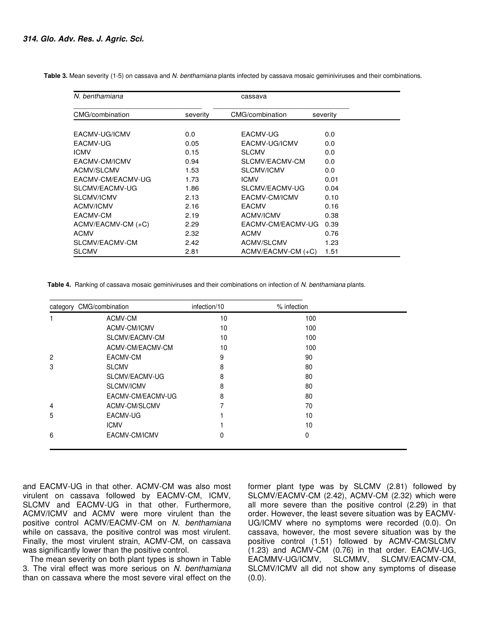**Table 3.** Mean severity (1-5) on cassava and N. benthamiana plants infected by cassava mosaic geminiviruses and their combinations.

| N. benthamiana     |          | cassava            |          |
|--------------------|----------|--------------------|----------|
| CMG/combination    | severity | CMG/combination    | severity |
| EACMV-UG/ICMV      | 0.0      | EACMV-UG           | 0.0      |
| EACMV-UG           | 0.05     | EACMV-UG/ICMV      | 0.0      |
| <b>ICMV</b>        | 0.15     | <b>SLCMV</b>       | 0.0      |
| EACMV-CM/ICMV      | 0.94     | SLCMV/EACMV-CM     | 0.0      |
| ACMV/SLCMV         | 1.53     | <b>SLCMV/ICMV</b>  | 0.0      |
| EACMV-CM/EACMV-UG  | 1.73     | <b>ICMV</b>        | 0.01     |
| SLCMV/EACMV-UG     | 1.86     | SLCMV/EACMV-UG     | 0.04     |
| <b>SLCMV/ICMV</b>  | 2.13     | EACMV-CM/ICMV      | 0.10     |
| <b>ACMV/ICMV</b>   | 2.16     | <b>EACMV</b>       | 0.16     |
| EACMV-CM           | 2.19     | ACMV/ICMV          | 0.38     |
| ACMV/EACMV-CM (+C) | 2.29     | EACMV-CM/EACMV-UG  | 0.39     |
| <b>ACMV</b>        | 2.32     | <b>ACMV</b>        | 0.76     |
| SLCMV/EACMV-CM     | 2.42     | ACMV/SLCMV         | 1.23     |
| <b>SLCMV</b>       | 2.81     | ACMV/EACMV-CM (+C) | 1.51     |

 **Table 4.** Ranking of cassava mosaic geminiviruses and their combinations on infection of N. benthamiana plants.

| category | CMG/combination   | infection/10 | % infection  |  |
|----------|-------------------|--------------|--------------|--|
|          | ACMV-CM           | 10           | 100          |  |
|          | ACMV-CM/ICMV      | 10           | 100          |  |
|          | SLCMV/EACMV-CM    | 10           | 100          |  |
|          | ACMV-CM/EACMV-CM  | 10           | 100          |  |
| 2        | EACMV-CM          | 9            | 90           |  |
| 3        | <b>SLCMV</b>      | 8            | 80           |  |
|          | SLCMV/EACMV-UG    | 8            | 80           |  |
|          | SLCMV/ICMV        | 8            | 80           |  |
|          | EACMV-CM/EACMV-UG | 8            | 80           |  |
| 4        | ACMV-CM/SLCMV     |              | 70           |  |
| 5        | EACMV-UG          |              | 10           |  |
|          | <b>ICMV</b>       |              | 10           |  |
| 6        | EACMV-CM/ICMV     | 0            | $\mathbf{0}$ |  |

and EACMV-UG in that other. ACMV-CM was also most virulent on cassava followed by EACMV-CM, ICMV, SLCMV and EACMV-UG in that other. Furthermore, ACMV/ICMV and ACMV were more virulent than the positive control ACMV/EACMV-CM on N. benthamiana while on cassava, the positive control was most virulent. Finally, the most virulent strain, ACMV-CM, on cassava was significantly lower than the positive control.

The mean severity on both plant types is shown in Table 3. The viral effect was more serious on N. benthamiana than on cassava where the most severe viral effect on the

former plant type was by SLCMV (2.81) followed by SLCMV/EACMV-CM (2.42), ACMV-CM (2.32) which were all more severe than the positive control (2.29) in that order. However, the least severe situation was by EACMV-UG/ICMV where no symptoms were recorded (0.0). On cassava, however, the most severe situation was by the positive control (1.51) followed by ACMV-CM/SLCMV (1.23) and ACMV-CM (0.76) in that order. EACMV-UG, EACMMV-UG/ICMV, SLCMMV, SLCMV/EACMV-CM, SLCMV/ICMV all did not show any symptoms of disease  $(0.0)$ .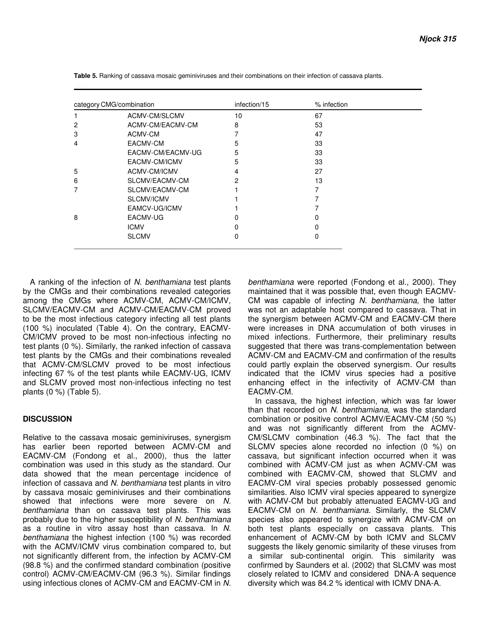| category CMG/combination |                   | infection/15 | % infection |  |
|--------------------------|-------------------|--------------|-------------|--|
| 1                        | ACMV-CM/SLCMV     | 10           | 67          |  |
| 2                        | ACMV-CM/EACMV-CM  | 8            | 53          |  |
| 3                        | ACMV-CM           |              | 47          |  |
| 4                        | EACMV-CM          | 5            | 33          |  |
|                          | EACMV-CM/EACMV-UG | 5            | 33          |  |
|                          | EACMV-CM/ICMV     | 5            | 33          |  |
| 5                        | ACMV-CM/ICMV      | 4            | 27          |  |
| 6                        | SLCMV/EACMV-CM    | 2            | 13          |  |
| 7                        | SLCMV/EACMV-CM    |              |             |  |
|                          | SLCMV/ICMV        |              |             |  |
|                          | EAMCV-UG/ICMV     |              |             |  |
| 8                        | EACMV-UG          | ი            | 0           |  |
|                          | <b>ICMV</b>       | n            | $\Omega$    |  |
|                          | <b>SLCMV</b>      | 0            | 0           |  |

 **Table 5.** Ranking of cassava mosaic geminiviruses and their combinations on their infection of cassava plants.

A ranking of the infection of N. benthamiana test plants by the CMGs and their combinations revealed categories among the CMGs where ACMV-CM, ACMV-CM/ICMV, SLCMV/EACMV-CM and ACMV-CM/EACMV-CM proved to be the most infectious category infecting all test plants (100 %) inoculated (Table 4). On the contrary, EACMV-CM/ICMV proved to be most non-infectious infecting no test plants (0 %). Similarly, the ranked infection of cassava test plants by the CMGs and their combinations revealed that ACMV-CM/SLCMV proved to be most infectious infecting 67 % of the test plants while EACMV-UG, ICMV and SLCMV proved most non-infectious infecting no test plants (0 %) (Table 5).

# **DISCUSSION**

Relative to the cassava mosaic geminiviruses, synergism has earlier been reported between ACMV-CM and EACMV-CM (Fondong et al., 2000), thus the latter combination was used in this study as the standard. Our data showed that the mean percentage incidence of infection of cassava and N. benthamiana test plants in vitro by cassava mosaic geminiviruses and their combinations showed that infections were more severe on N. benthamiana than on cassava test plants. This was probably due to the higher susceptibility of N. benthamiana as a routine in vitro assay host than cassava. In N. benthamiana the highest infection (100 %) was recorded with the ACMV/ICMV virus combination compared to, but not significantly different from, the infection by ACMV-CM (98.8 %) and the confirmed standard combination (positive control) ACMV-CM/EACMV-CM (96.3 %). Similar findings using infectious clones of ACMV-CM and EACMV-CM in N.

benthamiana were reported (Fondong et al., 2000). They maintained that it was possible that, even though EACMV-CM was capable of infecting N. benthamiana, the latter was not an adaptable host compared to cassava. That in the synergism between ACMV-CM and EACMV-CM there were increases in DNA accumulation of both viruses in mixed infections. Furthermore, their preliminary results suggested that there was trans-complementation between ACMV-CM and EACMV-CM and confirmation of the results could partly explain the observed synergism. Our results indicated that the ICMV virus species had a positive enhancing effect in the infectivity of ACMV-CM than EACMV-CM.

In cassava, the highest infection, which was far lower than that recorded on N. benthamiana, was the standard combination or positive control ACMV/EACMV-CM (50 %) and was not significantly different from the ACMV-CM/SLCMV combination (46.3 %). The fact that the SLCMV species alone recorded no infection (0 %) on cassava, but significant infection occurred when it was combined with ACMV-CM just as when ACMV-CM was combined with EACMV-CM, showed that SLCMV and EACMV-CM viral species probably possessed genomic similarities. Also ICMV viral species appeared to synergize with ACMV-CM but probably attenuated EACMV-UG and EACMV-CM on N. benthamiana. Similarly, the SLCMV species also appeared to synergize with ACMV-CM on both test plants especially on cassava plants. This enhancement of ACMV-CM by both ICMV and SLCMV suggests the likely genomic similarity of these viruses from a similar sub-continental origin. This similarity was confirmed by Saunders et al. (2002) that SLCMV was most closely related to ICMV and considered DNA-A sequence diversity which was 84.2 % identical with ICMV DNA-A.